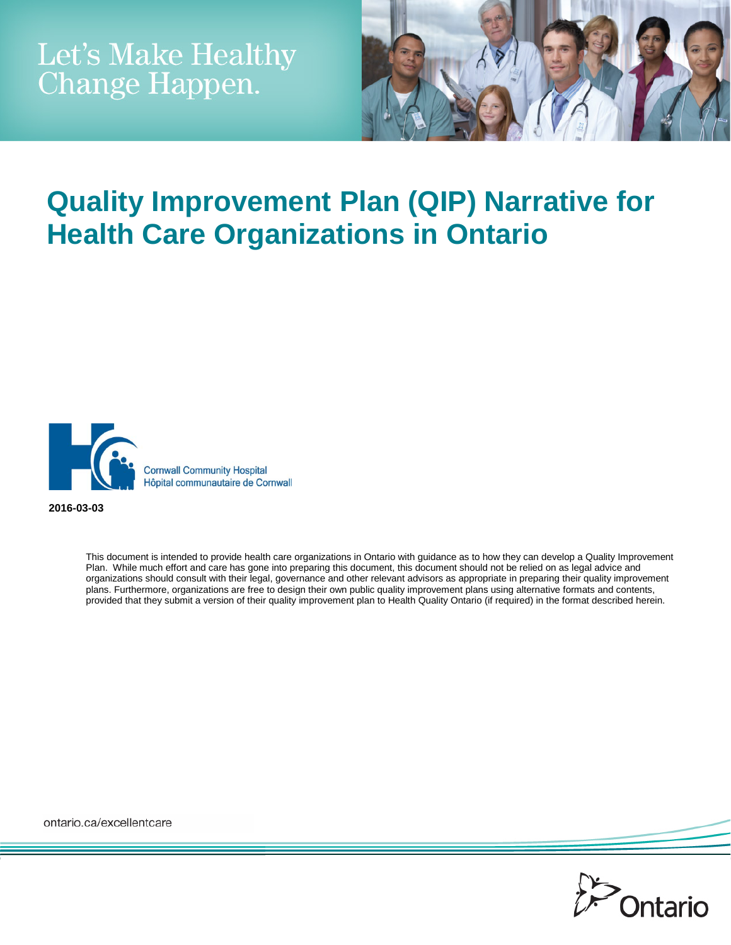

### **Quality Improvement Plan (QIP) Narrative for Health Care Organizations in Ontario**



**2016-03-03**

This document is intended to provide health care organizations in Ontario with guidance as to how they can develop a Quality Improvement Plan. While much effort and care has gone into preparing this document, this document should not be relied on as legal advice and organizations should consult with their legal, governance and other relevant advisors as appropriate in preparing their quality improvement plans. Furthermore, organizations are free to design their own public quality improvement plans using alternative formats and contents, provided that they submit a version of their quality improvement plan to Health Quality Ontario (if required) in the format described herein.

ontario.ca/excellentcare

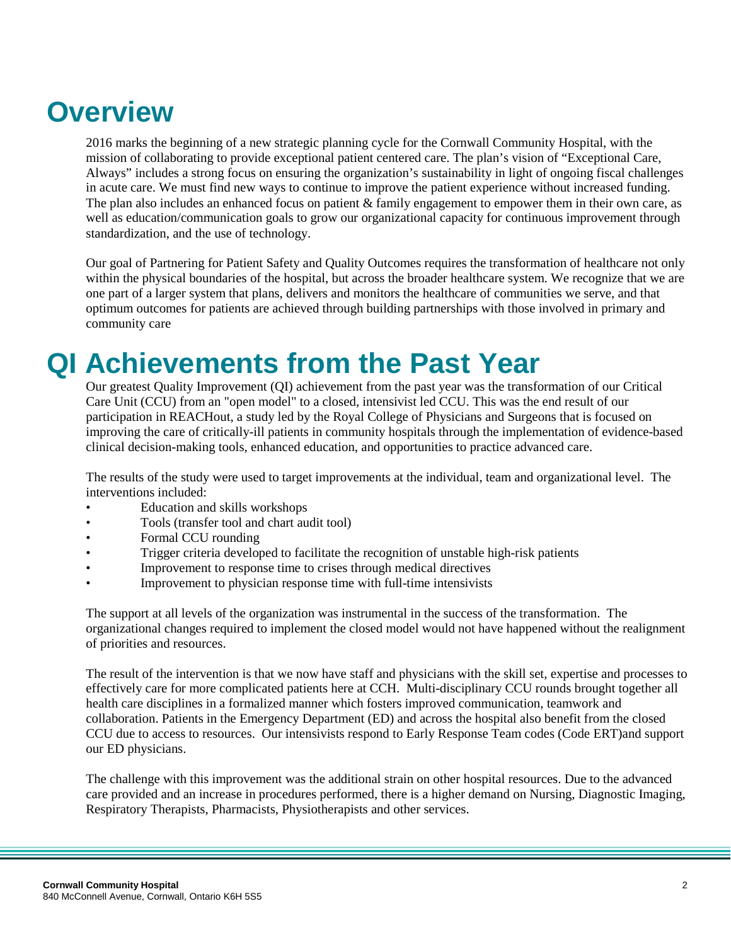#### **Overview**

2016 marks the beginning of a new strategic planning cycle for the Cornwall Community Hospital, with the mission of collaborating to provide exceptional patient centered care. The plan's vision of "Exceptional Care, Always" includes a strong focus on ensuring the organization's sustainability in light of ongoing fiscal challenges in acute care. We must find new ways to continue to improve the patient experience without increased funding. The plan also includes an enhanced focus on patient & family engagement to empower them in their own care, as well as education/communication goals to grow our organizational capacity for continuous improvement through standardization, and the use of technology.

Our goal of Partnering for Patient Safety and Quality Outcomes requires the transformation of healthcare not only within the physical boundaries of the hospital, but across the broader healthcare system. We recognize that we are one part of a larger system that plans, delivers and monitors the healthcare of communities we serve, and that optimum outcomes for patients are achieved through building partnerships with those involved in primary and community care

#### **QI Achievements from the Past Year**

Our greatest Quality Improvement (QI) achievement from the past year was the transformation of our Critical Care Unit (CCU) from an "open model" to a closed, intensivist led CCU. This was the end result of our participation in REACHout, a study led by the Royal College of Physicians and Surgeons that is focused on improving the care of critically-ill patients in community hospitals through the implementation of evidence-based clinical decision-making tools, enhanced education, and opportunities to practice advanced care.

The results of the study were used to target improvements at the individual, team and organizational level. The interventions included:

- Education and skills workshops
- Tools (transfer tool and chart audit tool)
- Formal CCU rounding
- Trigger criteria developed to facilitate the recognition of unstable high-risk patients
- Improvement to response time to crises through medical directives
- Improvement to physician response time with full-time intensivists

The support at all levels of the organization was instrumental in the success of the transformation. The organizational changes required to implement the closed model would not have happened without the realignment of priorities and resources.

The result of the intervention is that we now have staff and physicians with the skill set, expertise and processes to effectively care for more complicated patients here at CCH. Multi-disciplinary CCU rounds brought together all health care disciplines in a formalized manner which fosters improved communication, teamwork and collaboration. Patients in the Emergency Department (ED) and across the hospital also benefit from the closed CCU due to access to resources. Our intensivists respond to Early Response Team codes (Code ERT)and support our ED physicians.

The challenge with this improvement was the additional strain on other hospital resources. Due to the advanced care provided and an increase in procedures performed, there is a higher demand on Nursing, Diagnostic Imaging, Respiratory Therapists, Pharmacists, Physiotherapists and other services.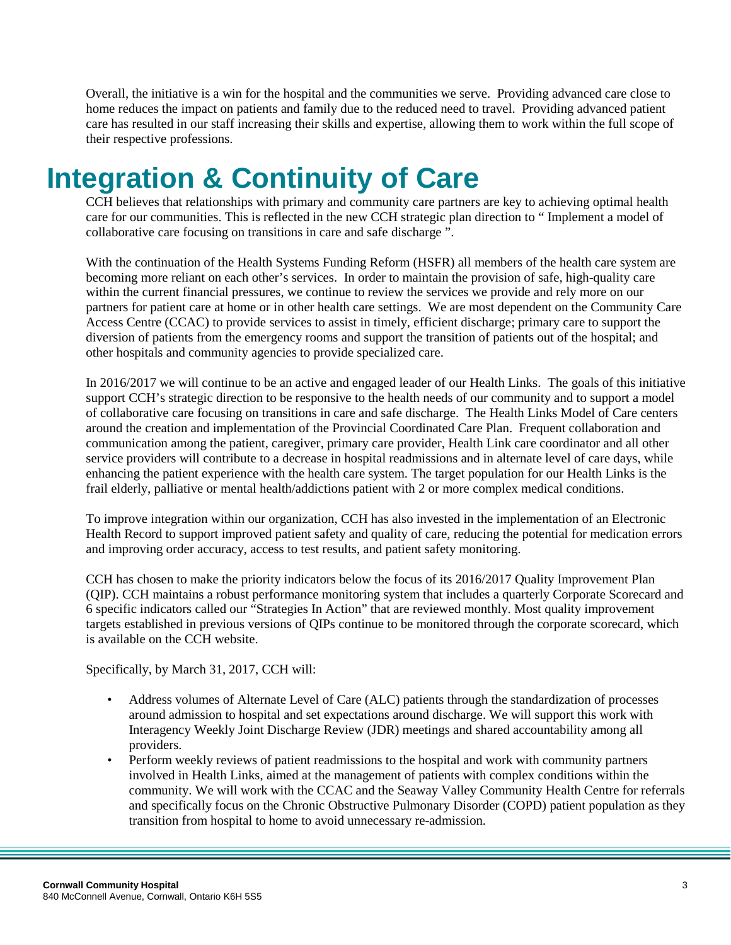Overall, the initiative is a win for the hospital and the communities we serve. Providing advanced care close to home reduces the impact on patients and family due to the reduced need to travel. Providing advanced patient care has resulted in our staff increasing their skills and expertise, allowing them to work within the full scope of their respective professions.

# **Integration & Continuity of Care**

CCH believes that relationships with primary and community care partners are key to achieving optimal health care for our communities. This is reflected in the new CCH strategic plan direction to " Implement a model of collaborative care focusing on transitions in care and safe discharge ".

With the continuation of the Health Systems Funding Reform (HSFR) all members of the health care system are becoming more reliant on each other's services. In order to maintain the provision of safe, high-quality care within the current financial pressures, we continue to review the services we provide and rely more on our partners for patient care at home or in other health care settings. We are most dependent on the Community Care Access Centre (CCAC) to provide services to assist in timely, efficient discharge; primary care to support the diversion of patients from the emergency rooms and support the transition of patients out of the hospital; and other hospitals and community agencies to provide specialized care.

In 2016/2017 we will continue to be an active and engaged leader of our Health Links. The goals of this initiative support CCH's strategic direction to be responsive to the health needs of our community and to support a model of collaborative care focusing on transitions in care and safe discharge. The Health Links Model of Care centers around the creation and implementation of the Provincial Coordinated Care Plan. Frequent collaboration and communication among the patient, caregiver, primary care provider, Health Link care coordinator and all other service providers will contribute to a decrease in hospital readmissions and in alternate level of care days, while enhancing the patient experience with the health care system. The target population for our Health Links is the frail elderly, palliative or mental health/addictions patient with 2 or more complex medical conditions.

To improve integration within our organization, CCH has also invested in the implementation of an Electronic Health Record to support improved patient safety and quality of care, reducing the potential for medication errors and improving order accuracy, access to test results, and patient safety monitoring.

CCH has chosen to make the priority indicators below the focus of its 2016/2017 Quality Improvement Plan (QIP). CCH maintains a robust performance monitoring system that includes a quarterly Corporate Scorecard and 6 specific indicators called our "Strategies In Action" that are reviewed monthly. Most quality improvement targets established in previous versions of QIPs continue to be monitored through the corporate scorecard, which is available on the CCH website.

Specifically, by March 31, 2017, CCH will:

- Address volumes of Alternate Level of Care (ALC) patients through the standardization of processes around admission to hospital and set expectations around discharge. We will support this work with Interagency Weekly Joint Discharge Review (JDR) meetings and shared accountability among all providers.
- Perform weekly reviews of patient readmissions to the hospital and work with community partners involved in Health Links, aimed at the management of patients with complex conditions within the community. We will work with the CCAC and the Seaway Valley Community Health Centre for referrals and specifically focus on the Chronic Obstructive Pulmonary Disorder (COPD) patient population as they transition from hospital to home to avoid unnecessary re-admission.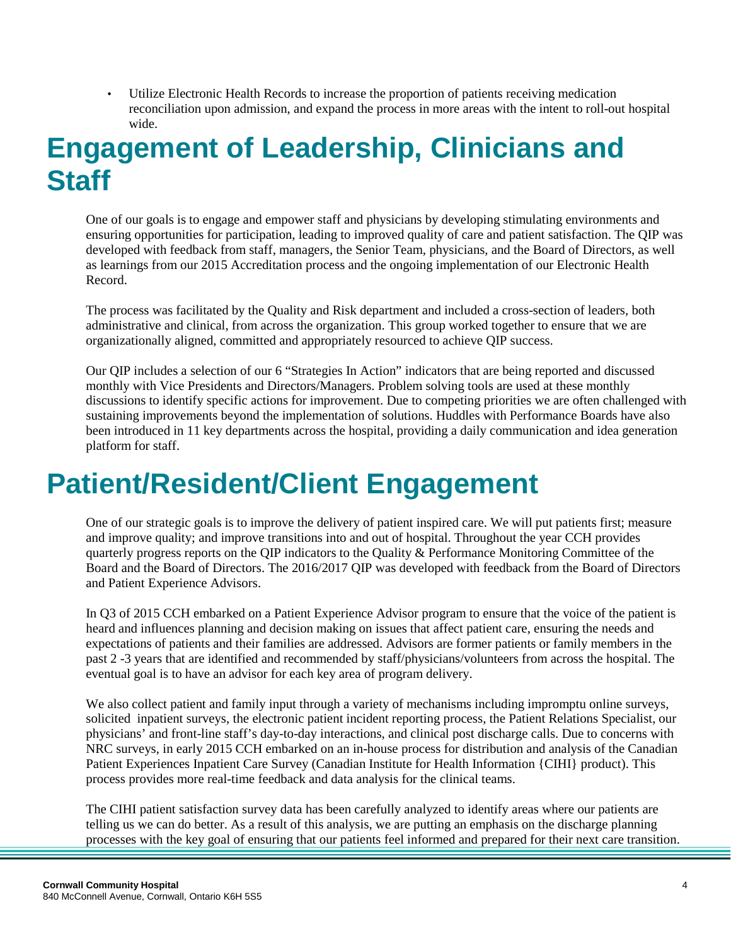• Utilize Electronic Health Records to increase the proportion of patients receiving medication reconciliation upon admission, and expand the process in more areas with the intent to roll-out hospital wide.

### **Engagement of Leadership, Clinicians and Staff**

One of our goals is to engage and empower staff and physicians by developing stimulating environments and ensuring opportunities for participation, leading to improved quality of care and patient satisfaction. The QIP was developed with feedback from staff, managers, the Senior Team, physicians, and the Board of Directors, as well as learnings from our 2015 Accreditation process and the ongoing implementation of our Electronic Health Record.

The process was facilitated by the Quality and Risk department and included a cross-section of leaders, both administrative and clinical, from across the organization. This group worked together to ensure that we are organizationally aligned, committed and appropriately resourced to achieve QIP success.

Our QIP includes a selection of our 6 "Strategies In Action" indicators that are being reported and discussed monthly with Vice Presidents and Directors/Managers. Problem solving tools are used at these monthly discussions to identify specific actions for improvement. Due to competing priorities we are often challenged with sustaining improvements beyond the implementation of solutions. Huddles with Performance Boards have also been introduced in 11 key departments across the hospital, providing a daily communication and idea generation platform for staff.

#### **Patient/Resident/Client Engagement**

One of our strategic goals is to improve the delivery of patient inspired care. We will put patients first; measure and improve quality; and improve transitions into and out of hospital. Throughout the year CCH provides quarterly progress reports on the QIP indicators to the Quality & Performance Monitoring Committee of the Board and the Board of Directors. The 2016/2017 QIP was developed with feedback from the Board of Directors and Patient Experience Advisors.

In Q3 of 2015 CCH embarked on a Patient Experience Advisor program to ensure that the voice of the patient is heard and influences planning and decision making on issues that affect patient care, ensuring the needs and expectations of patients and their families are addressed. Advisors are former patients or family members in the past 2 -3 years that are identified and recommended by staff/physicians/volunteers from across the hospital. The eventual goal is to have an advisor for each key area of program delivery.

We also collect patient and family input through a variety of mechanisms including impromptu online surveys, solicited inpatient surveys, the electronic patient incident reporting process, the Patient Relations Specialist, our physicians' and front-line staff's day-to-day interactions, and clinical post discharge calls. Due to concerns with NRC surveys, in early 2015 CCH embarked on an in-house process for distribution and analysis of the Canadian Patient Experiences Inpatient Care Survey (Canadian Institute for Health Information {CIHI} product). This process provides more real-time feedback and data analysis for the clinical teams.

The CIHI patient satisfaction survey data has been carefully analyzed to identify areas where our patients are telling us we can do better. As a result of this analysis, we are putting an emphasis on the discharge planning processes with the key goal of ensuring that our patients feel informed and prepared for their next care transition.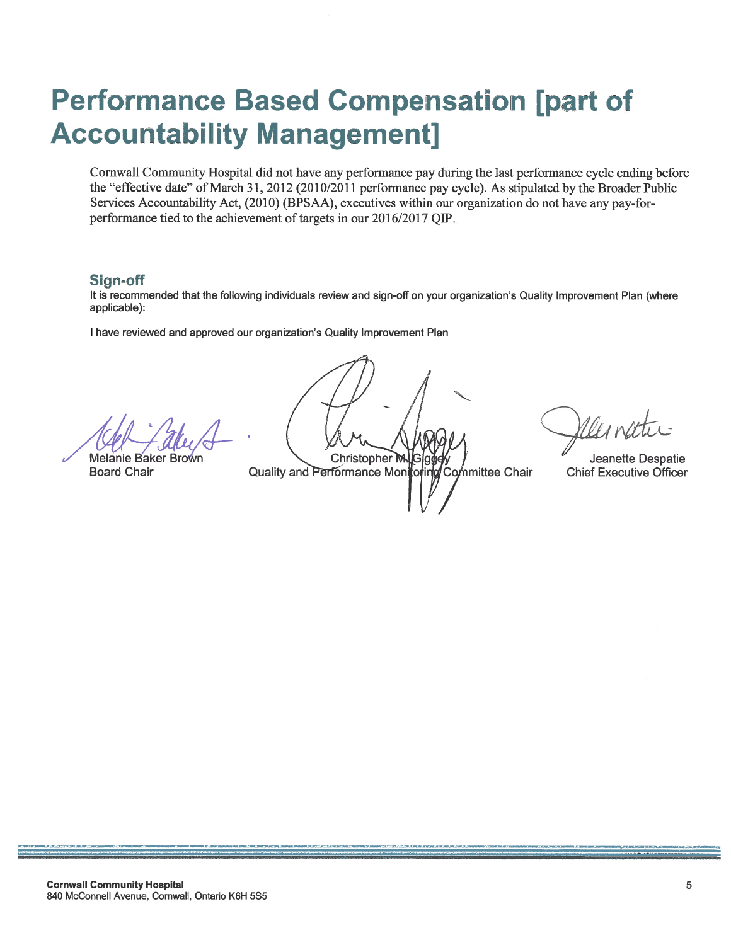# **Performance Based Compensation [part of Accountability Management]**

Cornwall Community Hospital did not have any performance pay during the last performance cycle ending before the "effective date" of March 31, 2012 (2010/2011 performance pay cycle). As stipulated by the Broader Public Services Accountability Act, (2010) (BPSAA), executives within our organization do not have any pay-forperformance tied to the achievement of targets in our 2016/2017 QIP.

#### Sign-off

It is recommended that the following individuals review and sign-off on your organization's Quality Improvement Plan (where applicable):

I have reviewed and approved our organization's Quality Improvement Plan

Melanie Baker Brown **Board Chair** 

Christopher<sup>M</sup> **Quality and Performance Moni** mmittee Chair lotii

Jeanette Despatie **Chief Executive Officer**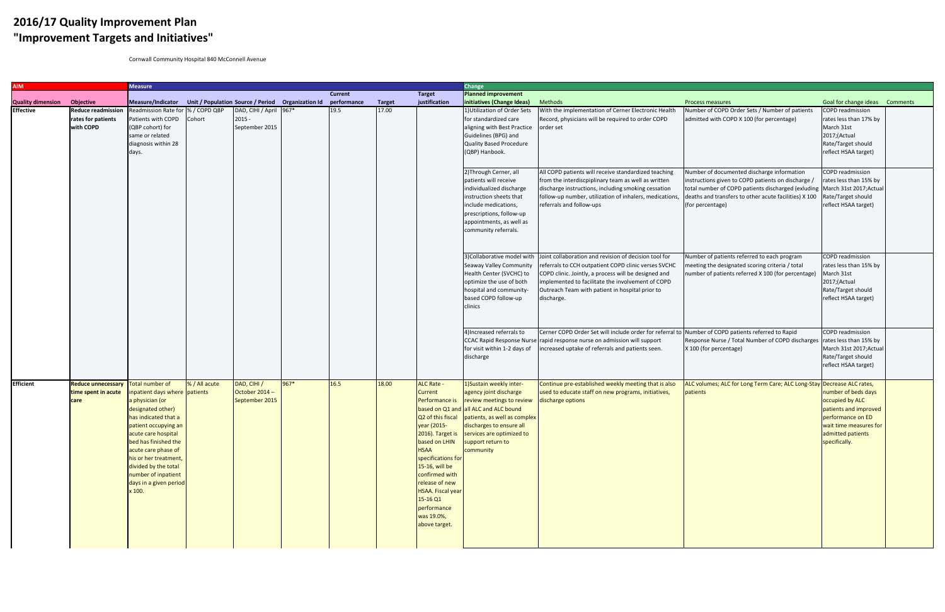#### **2016/17 Quality Improvement Plan "Improvement Targets and Initiatives"**

Cornwall Community Hospital 840 McConnell Avenue

| <b>AIM</b>               |                           | <b>Measure</b>                |               |                                                   |      |                |               |                               | Change                                     |                                                                                                    |                                                                        |                                |  |  |
|--------------------------|---------------------------|-------------------------------|---------------|---------------------------------------------------|------|----------------|---------------|-------------------------------|--------------------------------------------|----------------------------------------------------------------------------------------------------|------------------------------------------------------------------------|--------------------------------|--|--|
|                          |                           |                               |               |                                                   |      | <b>Current</b> |               | <b>Target</b>                 | <b>Planned improvement</b>                 |                                                                                                    |                                                                        |                                |  |  |
| <b>Quality dimension</b> | Objective                 | Measure/Indicator             |               | Unit / Population Source / Period Organization Id |      | performance    | <b>Target</b> | justification                 | initiatives (Change Ideas)                 | Methods                                                                                            | Process measures                                                       | Goal for change ideas Comments |  |  |
| <b>Effective</b>         | <b>Reduce readmission</b> | <b>Readmission Rate for</b>   | % / COPD QBP  | DAD, CIHI / April 967*                            |      | 19.5           | 17.00         |                               | 1) Utilization of Order Sets               | With the implementation of Cerner Electronic Health                                                | Number of COPD Order Sets / Number of patients                         | COPD readmission               |  |  |
|                          | rates for patients        | Patients with COPD            | Cohort        | $2015 -$                                          |      |                |               |                               | for standardized care                      | Record, physicians will be required to order COPD                                                  | admitted with COPD X 100 (for percentage)                              | rates less than 17% by         |  |  |
|                          | with COPD                 | (QBP cohort) for              |               | September 2015                                    |      |                |               |                               | aligning with Best Practice                | order set                                                                                          |                                                                        | March 31st                     |  |  |
|                          |                           | same or related               |               |                                                   |      |                |               |                               | Guidelines (BPG) and                       |                                                                                                    |                                                                        | 2017;(Actual                   |  |  |
|                          |                           | diagnosis within 28           |               |                                                   |      |                |               |                               | <b>Quality Based Procedure</b>             |                                                                                                    |                                                                        |                                |  |  |
|                          |                           |                               |               |                                                   |      |                |               |                               |                                            |                                                                                                    |                                                                        | Rate/Target should             |  |  |
|                          |                           | days.                         |               |                                                   |      |                |               |                               | (QBP) Hanbook.                             |                                                                                                    |                                                                        | reflect HSAA target)           |  |  |
|                          |                           |                               |               |                                                   |      |                |               |                               |                                            |                                                                                                    |                                                                        |                                |  |  |
|                          |                           |                               |               |                                                   |      |                |               |                               | 2) Through Cerner, all                     | All COPD patients will receive standardized teaching                                               | Number of documented discharge information                             | <b>COPD</b> readmission        |  |  |
|                          |                           |                               |               |                                                   |      |                |               |                               | patients will receive                      | from the interdiscpiplinary team as well as written                                                | instructions given to COPD patients on discharge /                     | rates less than 15% by         |  |  |
|                          |                           |                               |               |                                                   |      |                |               |                               | individualized discharge                   | discharge instructions, including smoking cessation                                                | total number of COPD patients discharged (exluding                     | March 31st 2017; Actual        |  |  |
|                          |                           |                               |               |                                                   |      |                |               |                               | instruction sheets that                    | follow-up number, utilization of inhalers, medications,                                            | deaths and transfers to other acute facilities) X 100                  | Rate/Target should             |  |  |
|                          |                           |                               |               |                                                   |      |                |               |                               |                                            |                                                                                                    |                                                                        |                                |  |  |
|                          |                           |                               |               |                                                   |      |                |               |                               | include medications,                       | referrals and follow-ups                                                                           | (for percentage)                                                       | reflect HSAA target)           |  |  |
|                          |                           |                               |               |                                                   |      |                |               |                               | prescriptions, follow-up                   |                                                                                                    |                                                                        |                                |  |  |
|                          |                           |                               |               |                                                   |      |                |               |                               | appointments, as well as                   |                                                                                                    |                                                                        |                                |  |  |
|                          |                           |                               |               |                                                   |      |                |               |                               | community referrals.                       |                                                                                                    |                                                                        |                                |  |  |
|                          |                           |                               |               |                                                   |      |                |               |                               |                                            |                                                                                                    |                                                                        |                                |  |  |
|                          |                           |                               |               |                                                   |      |                |               |                               |                                            |                                                                                                    |                                                                        |                                |  |  |
|                          |                           |                               |               |                                                   |      |                |               |                               | 3)Collaborative model with                 | Joint collaboration and revision of decision tool for                                              | Number of patients referred to each program                            | COPD readmission               |  |  |
|                          |                           |                               |               |                                                   |      |                |               |                               | <b>Seaway Valley Community</b>             | referrals to CCH outpatient COPD clinic verses SVCHC                                               | meeting the designated scoring criteria / total                        | rates less than 15% by         |  |  |
|                          |                           |                               |               |                                                   |      |                |               |                               |                                            | COPD clinic. Jointly, a process will be designed and                                               |                                                                        |                                |  |  |
|                          |                           |                               |               |                                                   |      |                |               |                               | Health Center (SVCHC) to                   |                                                                                                    | number of patients referred X 100 (for percentage)                     | March 31st                     |  |  |
|                          |                           |                               |               |                                                   |      |                |               |                               | optimize the use of both                   | implemented to facilitate the involvement of COPD                                                  |                                                                        | 2017;(Actual                   |  |  |
|                          |                           |                               |               |                                                   |      |                |               |                               | hospital and community-                    | Outreach Team with patient in hospital prior to                                                    |                                                                        | Rate/Target should             |  |  |
|                          |                           |                               |               |                                                   |      |                |               |                               | based COPD follow-up                       | discharge.                                                                                         |                                                                        | reflect HSAA target)           |  |  |
|                          |                           |                               |               |                                                   |      |                |               |                               | clinics                                    |                                                                                                    |                                                                        |                                |  |  |
|                          |                           |                               |               |                                                   |      |                |               |                               |                                            |                                                                                                    |                                                                        |                                |  |  |
|                          |                           |                               |               |                                                   |      |                |               |                               |                                            |                                                                                                    |                                                                        |                                |  |  |
|                          |                           |                               |               |                                                   |      |                |               |                               | 4) Increased referrals to                  | Cerner COPD Order Set will include order for referral to Number of COPD patients referred to Rapid |                                                                        | COPD readmission               |  |  |
|                          |                           |                               |               |                                                   |      |                |               |                               |                                            | CCAC Rapid Response Nurse rapid response nurse on admission will support                           | Response Nurse / Total Number of COPD discharges                       | rates less than 15% by         |  |  |
|                          |                           |                               |               |                                                   |      |                |               |                               | for visit within 1-2 days of               | increased uptake of referrals and patients seen.                                                   | X 100 (for percentage)                                                 | March 31st 2017; Actual        |  |  |
|                          |                           |                               |               |                                                   |      |                |               |                               | discharge                                  |                                                                                                    |                                                                        | Rate/Target should             |  |  |
|                          |                           |                               |               |                                                   |      |                |               |                               |                                            |                                                                                                    |                                                                        | reflect HSAA target)           |  |  |
|                          |                           |                               |               |                                                   |      |                |               |                               |                                            |                                                                                                    |                                                                        |                                |  |  |
|                          |                           |                               |               |                                                   |      |                |               |                               |                                            |                                                                                                    |                                                                        |                                |  |  |
| <b>Efficient</b>         | <b>Reduce unnecessary</b> | <b>Total number of</b>        | % / All acute | DAD, CIHI /                                       | 967* | 16.5           | 18.00         | <b>ALC Rate</b>               | 1) Sustain weekly inter-                   | Continue pre-established weekly meeting that is also                                               | ALC volumes; ALC for Long Term Care; ALC Long-Stay Decrease ALC rates, |                                |  |  |
|                          | time spent in acute       | inpatient days where patients |               | October 2014 -                                    |      |                |               | <b>Current</b>                | agency joint discharge                     | used to educate staff on new programs, initiatives,                                                | patients                                                               | number of beds days            |  |  |
|                          | care                      | a physician (or               |               | September 2015                                    |      |                |               | Performance is                | review meetings to review                  | discharge options                                                                                  |                                                                        | occupied by ALC                |  |  |
|                          |                           | designated other)             |               |                                                   |      |                |               | based on Q1 and               | all ALC and ALC bound                      |                                                                                                    |                                                                        | patients and improved          |  |  |
|                          |                           | has indicated that a          |               |                                                   |      |                |               | Q <sub>2</sub> of this fiscal | patients, as well as complex               |                                                                                                    |                                                                        | performance on ED              |  |  |
|                          |                           | patient occupying an          |               |                                                   |      |                |               | year (2015-                   | discharges to ensure all                   |                                                                                                    |                                                                        | wait time measures for         |  |  |
|                          |                           | acute care hospital           |               |                                                   |      |                |               |                               | 2016). Target is services are optimized to |                                                                                                    |                                                                        | admitted patients              |  |  |
|                          |                           | bed has finished the          |               |                                                   |      |                |               | based on LHIN                 | support return to                          |                                                                                                    |                                                                        | specifically.                  |  |  |
|                          |                           | acute care phase of           |               |                                                   |      |                |               | <b>HSAA</b>                   | community                                  |                                                                                                    |                                                                        |                                |  |  |
|                          |                           | his or her treatment,         |               |                                                   |      |                |               | specifications for            |                                            |                                                                                                    |                                                                        |                                |  |  |
|                          |                           | divided by the total          |               |                                                   |      |                |               | 15-16, will be                |                                            |                                                                                                    |                                                                        |                                |  |  |
|                          |                           |                               |               |                                                   |      |                |               | confirmed with                |                                            |                                                                                                    |                                                                        |                                |  |  |
|                          |                           | number of inpatient           |               |                                                   |      |                |               |                               |                                            |                                                                                                    |                                                                        |                                |  |  |
|                          |                           | days in a given period        |               |                                                   |      |                |               | release of new                |                                            |                                                                                                    |                                                                        |                                |  |  |
|                          |                           | $x$ 100.                      |               |                                                   |      |                |               | <b>HSAA.</b> Fiscal year      |                                            |                                                                                                    |                                                                        |                                |  |  |
|                          |                           |                               |               |                                                   |      |                |               | 15-16 Q1                      |                                            |                                                                                                    |                                                                        |                                |  |  |
|                          |                           |                               |               |                                                   |      |                |               | performance                   |                                            |                                                                                                    |                                                                        |                                |  |  |
|                          |                           |                               |               |                                                   |      |                |               | was 19.0%,                    |                                            |                                                                                                    |                                                                        |                                |  |  |
|                          |                           |                               |               |                                                   |      |                |               | above target.                 |                                            |                                                                                                    |                                                                        |                                |  |  |
|                          |                           |                               |               |                                                   |      |                |               |                               |                                            |                                                                                                    |                                                                        |                                |  |  |
|                          |                           |                               |               |                                                   |      |                |               |                               |                                            |                                                                                                    |                                                                        |                                |  |  |
|                          |                           |                               |               |                                                   |      |                |               |                               |                                            |                                                                                                    |                                                                        |                                |  |  |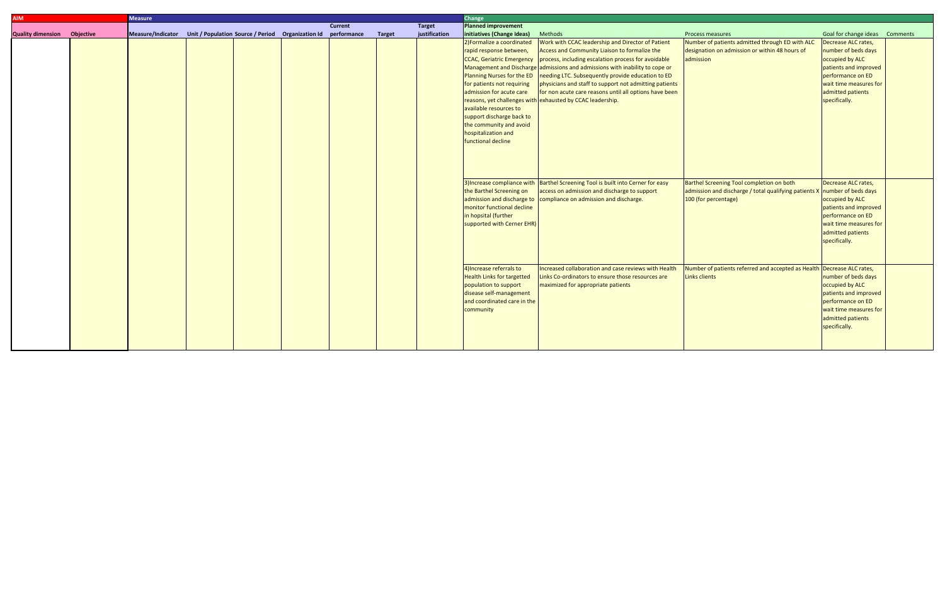| <b>AIM</b>                         |  | <b>Measure</b>    |                                                               |                |               |               | Change                                                                                                                                                                                                                                                                              |                                                                                                                                                                                                                                                                                                                                                                                                                                                                                                             |                                                                                                                                                |                                                                                                                                                                             |  |
|------------------------------------|--|-------------------|---------------------------------------------------------------|----------------|---------------|---------------|-------------------------------------------------------------------------------------------------------------------------------------------------------------------------------------------------------------------------------------------------------------------------------------|-------------------------------------------------------------------------------------------------------------------------------------------------------------------------------------------------------------------------------------------------------------------------------------------------------------------------------------------------------------------------------------------------------------------------------------------------------------------------------------------------------------|------------------------------------------------------------------------------------------------------------------------------------------------|-----------------------------------------------------------------------------------------------------------------------------------------------------------------------------|--|
|                                    |  |                   |                                                               | <b>Current</b> |               | <b>Target</b> | <b>Planned improvement</b>                                                                                                                                                                                                                                                          |                                                                                                                                                                                                                                                                                                                                                                                                                                                                                                             |                                                                                                                                                |                                                                                                                                                                             |  |
| <b>Quality dimension Objective</b> |  | Measure/Indicator | Unit / Population Source / Period Organization Id performance |                | <b>Target</b> | justification | initiatives (Change Ideas)                                                                                                                                                                                                                                                          | Methods                                                                                                                                                                                                                                                                                                                                                                                                                                                                                                     | Process measures                                                                                                                               | Goal for change ideas Comments                                                                                                                                              |  |
|                                    |  |                   |                                                               |                |               |               | 2) Formalize a coordinated<br>rapid response between,<br>CCAC, Geriatric Emergency<br>for patients not requiring<br>admission for acute care<br>available resources to<br>support discharge back to<br>the community and avoid<br>hospitalization and<br><b>Ifunctional decline</b> | Work with CCAC leadership and Director of Patient<br>Access and Community Liaison to formalize the<br>process, including escalation process for avoidable<br>Management and Discharge admissions and admissions with inability to cope or<br>Planning Nurses for the ED needing LTC. Subsequently provide education to ED<br>physicians and staff to support not admitting patients<br>for non acute care reasons until all options have been<br>reasons, yet challenges with exhausted by CCAC leadership. | Number of patients admitted through ED with ALC<br>designation on admission or within 48 hours of<br>admission                                 | Decrease ALC rates,<br>number of beds days<br>occupied by ALC<br>patients and improved<br>performance on ED<br>wait time measures for<br>admitted patients<br>specifically. |  |
|                                    |  |                   |                                                               |                |               |               | 3) Increase compliance with<br>the Barthel Screening on<br>admission and discharge to<br>monitor functional decline<br>in hopsital (further<br>supported with Cerner EHR)                                                                                                           | Barthel Screening Tool is built into Cerner for easy<br>access on admission and discharge to support<br>compliance on admission and discharge.                                                                                                                                                                                                                                                                                                                                                              | Barthel Screening Tool completion on both<br>admission and discharge / total qualifying patients X number of beds days<br>100 (for percentage) | Decrease ALC rates,<br>occupied by ALC<br>patients and improved<br>performance on ED<br>wait time measures for<br>admitted patients<br>specifically.                        |  |
|                                    |  |                   |                                                               |                |               |               | 4) Increase referrals to<br><b>Health Links for targetted</b><br>population to support<br>disease self-management<br>and coordinated care in the<br>community                                                                                                                       | Increased collaboration and case reviews with Health<br>Links Co-ordinators to ensure those resources are<br>maximized for appropriate patients                                                                                                                                                                                                                                                                                                                                                             | Number of patients referred and accepted as Health Decrease ALC rates,<br><b>Links clients</b>                                                 | number of beds days<br>occupied by ALC<br>patients and improved<br>performance on ED<br>wait time measures for<br>admitted patients<br>specifically.                        |  |

| <b>Process measures</b>                                                                                                                        | Goal for change ideas                                                                                                                                                       | <b>Comments</b> |
|------------------------------------------------------------------------------------------------------------------------------------------------|-----------------------------------------------------------------------------------------------------------------------------------------------------------------------------|-----------------|
| Number of patients admitted through ED with ALC<br>designation on admission or within 48 hours of<br>admission                                 | Decrease ALC rates.<br>number of beds days<br>occupied by ALC<br>patients and improved<br>performance on ED<br>wait time measures for<br>admitted patients<br>specifically. |                 |
| Barthel Screening Tool completion on both<br>admission and discharge / total qualifying patients X number of beds days<br>100 (for percentage) | Decrease ALC rates,<br>occupied by ALC<br>patients and improved<br>performance on ED<br>wait time measures for<br>admitted patients<br>specifically.                        |                 |
| Number of patients referred and accepted as Health Decrease ALC rates,<br><b>Links clients</b>                                                 | number of beds days<br>occupied by ALC<br>patients and improved<br>performance on ED<br>wait time measures for<br>admitted patients<br>specifically.                        |                 |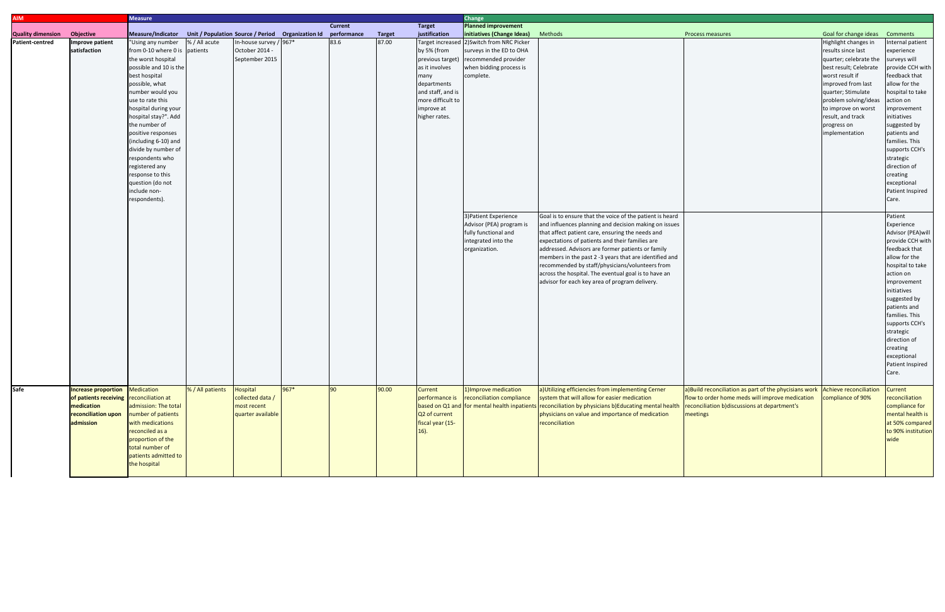| <b>AIM</b><br><b>Measure</b> |                                         |                                                                     |                  |                        |      |               |                            | Change            |                                             |                                                          |                                                                              |                                     |                    |
|------------------------------|-----------------------------------------|---------------------------------------------------------------------|------------------|------------------------|------|---------------|----------------------------|-------------------|---------------------------------------------|----------------------------------------------------------|------------------------------------------------------------------------------|-------------------------------------|--------------------|
|                              |                                         |                                                                     |                  | <b>Current</b>         |      | <b>Target</b> | <b>Planned improvement</b> |                   |                                             |                                                          |                                                                              |                                     |                    |
| <b>Quality dimension</b>     | Objective                               | Measure/Indicator Unit / Population Source / Period Organization Id |                  |                        |      | performance   | <b>Target</b>              | justification     | initiatives (Change Ideas)                  | Methods                                                  | Process measures                                                             | Goal for change ideas Comments      |                    |
| <b>Patient-centred</b>       | <b>Improve patient</b>                  | "Using any number                                                   | % / All acute    | In-house survey / 967* |      | 83.6          | 87.00                      | Target increased  | 2) Switch from NRC Picker                   |                                                          |                                                                              | Highlight changes in                | Internal patient   |
|                              | satisfaction                            | from 0-10 where 0 is patients                                       |                  | October 2014 -         |      |               |                            | by 5% (from       | surveys in the ED to OHA                    |                                                          |                                                                              | results since last                  | experience         |
|                              |                                         | the worst hospital                                                  |                  | September 2015         |      |               |                            | previous target)  | recommended provider                        |                                                          |                                                                              | quarter; celebrate the surveys will |                    |
|                              |                                         | possible and 10 is the                                              |                  |                        |      |               |                            | as it involves    | when bidding process is                     |                                                          |                                                                              | best result; Celebrate              | provide CCH with   |
|                              |                                         | best hospital                                                       |                  |                        |      |               |                            | many              | complete.                                   |                                                          |                                                                              | worst result if                     | feedback that      |
|                              |                                         | possible, what                                                      |                  |                        |      |               |                            | departments       |                                             |                                                          |                                                                              | improved from last                  | allow for the      |
|                              |                                         | number would you                                                    |                  |                        |      |               |                            | and staff, and is |                                             |                                                          |                                                                              | quarter; Stimulate                  | hospital to take   |
|                              |                                         | use to rate this                                                    |                  |                        |      |               |                            | more difficult to |                                             |                                                          |                                                                              | problem solving/ideas               | action on          |
|                              |                                         | hospital during your                                                |                  |                        |      |               |                            |                   |                                             |                                                          |                                                                              |                                     |                    |
|                              |                                         |                                                                     |                  |                        |      |               |                            | improve at        |                                             |                                                          |                                                                              | to improve on worst                 | improvement        |
|                              |                                         | hospital stay?". Add                                                |                  |                        |      |               |                            | higher rates.     |                                             |                                                          |                                                                              | result, and track                   | initiatives        |
|                              |                                         | the number of                                                       |                  |                        |      |               |                            |                   |                                             |                                                          |                                                                              | progress on                         | suggested by       |
|                              |                                         | positive responses                                                  |                  |                        |      |               |                            |                   |                                             |                                                          |                                                                              | implementation                      | patients and       |
|                              |                                         | (including 6-10) and                                                |                  |                        |      |               |                            |                   |                                             |                                                          |                                                                              |                                     | families. This     |
|                              |                                         | divide by number of                                                 |                  |                        |      |               |                            |                   |                                             |                                                          |                                                                              |                                     | supports CCH's     |
|                              |                                         | respondents who                                                     |                  |                        |      |               |                            |                   |                                             |                                                          |                                                                              |                                     | strategic          |
|                              |                                         | registered any                                                      |                  |                        |      |               |                            |                   |                                             |                                                          |                                                                              |                                     | direction of       |
|                              |                                         | response to this                                                    |                  |                        |      |               |                            |                   |                                             |                                                          |                                                                              |                                     | creating           |
|                              |                                         | question (do not                                                    |                  |                        |      |               |                            |                   |                                             |                                                          |                                                                              |                                     | exceptional        |
|                              |                                         | include non-                                                        |                  |                        |      |               |                            |                   |                                             |                                                          |                                                                              |                                     | Patient Inspired   |
|                              |                                         | respondents).                                                       |                  |                        |      |               |                            |                   |                                             |                                                          |                                                                              |                                     | Care.              |
|                              |                                         |                                                                     |                  |                        |      |               |                            |                   |                                             |                                                          |                                                                              |                                     |                    |
|                              |                                         |                                                                     |                  |                        |      |               |                            |                   |                                             |                                                          |                                                                              |                                     | Patient            |
|                              |                                         |                                                                     |                  |                        |      |               |                            |                   | 3) Patient Experience                       | Goal is to ensure that the voice of the patient is heard |                                                                              |                                     |                    |
|                              |                                         |                                                                     |                  |                        |      |               |                            |                   | Advisor (PEA) program is                    | and influences planning and decision making on issues    |                                                                              |                                     | Experience         |
|                              |                                         |                                                                     |                  |                        |      |               |                            |                   | fully functional and                        | that affect patient care, ensuring the needs and         |                                                                              |                                     | Advisor (PEA) will |
|                              |                                         |                                                                     |                  |                        |      |               |                            |                   | integrated into the                         | expectations of patients and their families are          |                                                                              |                                     | provide CCH with   |
|                              |                                         |                                                                     |                  |                        |      |               |                            |                   | organization.                               | addressed. Advisors are former patients or family        |                                                                              |                                     | feedback that      |
|                              |                                         |                                                                     |                  |                        |      |               |                            |                   |                                             | members in the past 2 -3 years that are identified and   |                                                                              |                                     | allow for the      |
|                              |                                         |                                                                     |                  |                        |      |               |                            |                   |                                             | recommended by staff/physicians/volunteers from          |                                                                              |                                     | hospital to take   |
|                              |                                         |                                                                     |                  |                        |      |               |                            |                   |                                             | across the hospital. The eventual goal is to have an     |                                                                              |                                     | action on          |
|                              |                                         |                                                                     |                  |                        |      |               |                            |                   |                                             | advisor for each key area of program delivery.           |                                                                              |                                     | improvement        |
|                              |                                         |                                                                     |                  |                        |      |               |                            |                   |                                             |                                                          |                                                                              |                                     | initiatives        |
|                              |                                         |                                                                     |                  |                        |      |               |                            |                   |                                             |                                                          |                                                                              |                                     | suggested by       |
|                              |                                         |                                                                     |                  |                        |      |               |                            |                   |                                             |                                                          |                                                                              |                                     | patients and       |
|                              |                                         |                                                                     |                  |                        |      |               |                            |                   |                                             |                                                          |                                                                              |                                     | families. This     |
|                              |                                         |                                                                     |                  |                        |      |               |                            |                   |                                             |                                                          |                                                                              |                                     |                    |
|                              |                                         |                                                                     |                  |                        |      |               |                            |                   |                                             |                                                          |                                                                              |                                     | supports CCH's     |
|                              |                                         |                                                                     |                  |                        |      |               |                            |                   |                                             |                                                          |                                                                              |                                     | strategic          |
|                              |                                         |                                                                     |                  |                        |      |               |                            |                   |                                             |                                                          |                                                                              |                                     | direction of       |
|                              |                                         |                                                                     |                  |                        |      |               |                            |                   |                                             |                                                          |                                                                              |                                     | creating           |
|                              |                                         |                                                                     |                  |                        |      |               |                            |                   |                                             |                                                          |                                                                              |                                     | exceptional        |
|                              |                                         |                                                                     |                  |                        |      |               |                            |                   |                                             |                                                          |                                                                              |                                     | Patient Inspired   |
|                              |                                         |                                                                     |                  |                        |      |               |                            |                   |                                             |                                                          |                                                                              |                                     | Care.              |
|                              |                                         |                                                                     |                  |                        |      |               |                            |                   |                                             |                                                          |                                                                              |                                     |                    |
| Safe                         | Increase proportion                     | Medication                                                          | % / All patients | Hospital               | 967* | 90            | 90.00                      | <b>Current</b>    | 1) Improve medication                       | a)Utilizing efficiencies from implementing Cerner        | a)Build reconciliation as part of the phycisians work Achieve reconciliation |                                     | <b>Current</b>     |
|                              | of patients receiving reconciliation at |                                                                     |                  | collected data /       |      |               |                            | performance is    | reconciliation compliance                   | system that will allow for easier medication             | flow to order home meds will improve medication                              | compliance of 90%                   | reconciliation     |
|                              | medication                              | admission: The total                                                |                  | most recent            |      |               |                            |                   | based on Q1 and for mental health inpatient | reconciliation by physicians b) Educating mental health  | reconciliation b) discussions at department's                                |                                     | compliance for     |
|                              | reconciliation upon                     | number of patients                                                  |                  | quarter available      |      |               |                            | Q2 of current     |                                             | physicians on value and importance of medication         | meetings                                                                     |                                     | mental health is   |
|                              | admission                               | with medications                                                    |                  |                        |      |               |                            | fiscal year (15-  |                                             | reconciliation                                           |                                                                              |                                     | at 50% compared    |
|                              |                                         |                                                                     |                  |                        |      |               |                            |                   |                                             |                                                          |                                                                              |                                     |                    |
|                              |                                         | reconciled as a                                                     |                  |                        |      |               |                            |                   |                                             |                                                          |                                                                              |                                     | to 90% institution |
|                              |                                         | proportion of the                                                   |                  |                        |      |               |                            |                   |                                             |                                                          |                                                                              |                                     | wide               |
|                              |                                         | total number of                                                     |                  |                        |      |               |                            |                   |                                             |                                                          |                                                                              |                                     |                    |
|                              |                                         | patients admitted to                                                |                  |                        |      |               |                            |                   |                                             |                                                          |                                                                              |                                     |                    |
|                              |                                         | the hospital                                                        |                  |                        |      |               |                            |                   |                                             |                                                          |                                                                              |                                     |                    |
|                              |                                         |                                                                     |                  |                        |      |               |                            |                   |                                             |                                                          |                                                                              |                                     |                    |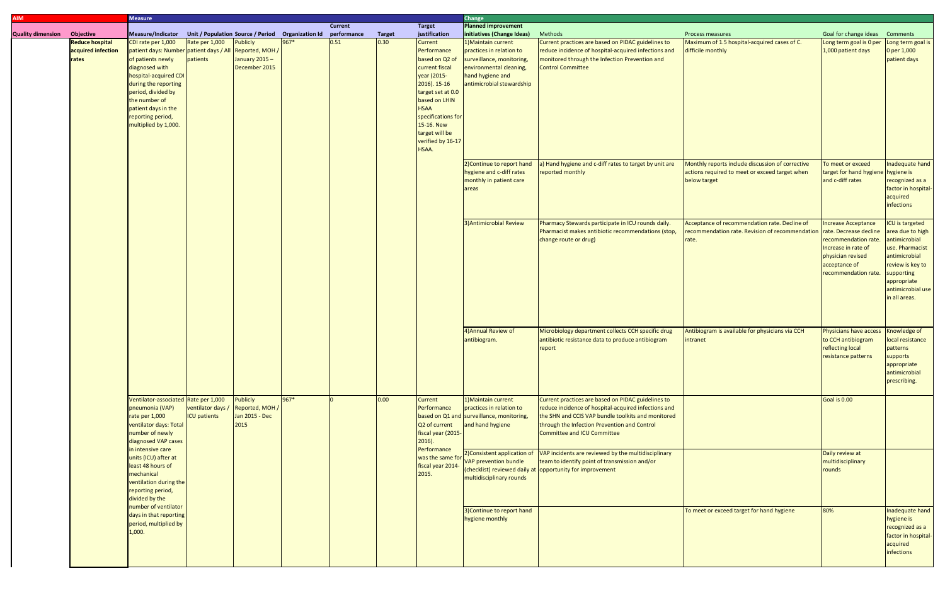| AIM                      |                                            | <b>Measure</b>                                          |                                                                     |                 |      |                |        |                                 | Change                                            |                                                           |                                                                  |                                           |                        |
|--------------------------|--------------------------------------------|---------------------------------------------------------|---------------------------------------------------------------------|-----------------|------|----------------|--------|---------------------------------|---------------------------------------------------|-----------------------------------------------------------|------------------------------------------------------------------|-------------------------------------------|------------------------|
|                          |                                            |                                                         |                                                                     |                 |      | <b>Current</b> |        | <b>Target</b>                   | <b>Planned improvement</b>                        |                                                           |                                                                  |                                           |                        |
| <b>Quality dimension</b> | <b>Objective</b><br><b>Reduce hospital</b> | Measure/Indicator<br>CDI rate per 1,000                 | Unit / Population Source / Period Organization Id<br>Rate per 1,000 | Publicly        | 967* | performance    | Target | justification                   | initiatives (Change Ideas)<br>1) Maintain current | Methods                                                   | Process measures<br>Maximum of 1.5 hospital-acquired cases of C. | Goal for change ideas Comments            |                        |
|                          |                                            |                                                         |                                                                     |                 |      | 0.51           | 0.30   | <b>Current</b>                  |                                                   | Current practices are based on PIDAC guidelines to        |                                                                  | Long term goal is 0 per Long term goal is |                        |
|                          | acquired infection                         | patient days: Number patient days / All Reported, MOH / |                                                                     |                 |      |                |        | Performance                     | practices in relation to                          | reduce incidence of hospital-acquired infections and      | difficile monthly                                                | 1,000 patient days                        | 0 per 1,000            |
|                          | rates                                      | of patients newly                                       | patients                                                            | January 2015-   |      |                |        | based on Q2 of                  | surveillance, monitoring,                         | monitored through the Infection Prevention and            |                                                                  |                                           | patient days           |
|                          |                                            | diagnosed with                                          |                                                                     | December 2015   |      |                |        | current fiscal                  | environmental cleaning,                           | <b>Control Committee</b>                                  |                                                                  |                                           |                        |
|                          |                                            | hospital-acquired CDI                                   |                                                                     |                 |      |                |        | year (2015-                     | hand hygiene and                                  |                                                           |                                                                  |                                           |                        |
|                          |                                            | during the reporting                                    |                                                                     |                 |      |                |        | 2016). 15-16                    | antimicrobial stewardship                         |                                                           |                                                                  |                                           |                        |
|                          |                                            | period, divided by                                      |                                                                     |                 |      |                |        | target set at 0.0               |                                                   |                                                           |                                                                  |                                           |                        |
|                          |                                            | the number of                                           |                                                                     |                 |      |                |        | based on LHIN                   |                                                   |                                                           |                                                                  |                                           |                        |
|                          |                                            | patient days in the                                     |                                                                     |                 |      |                |        | <b>HSAA</b>                     |                                                   |                                                           |                                                                  |                                           |                        |
|                          |                                            | reporting period,                                       |                                                                     |                 |      |                |        | specifications for              |                                                   |                                                           |                                                                  |                                           |                        |
|                          |                                            | multiplied by 1,000.                                    |                                                                     |                 |      |                |        | 15-16. New                      |                                                   |                                                           |                                                                  |                                           |                        |
|                          |                                            |                                                         |                                                                     |                 |      |                |        | target will be                  |                                                   |                                                           |                                                                  |                                           |                        |
|                          |                                            |                                                         |                                                                     |                 |      |                |        | verified by 16-17               |                                                   |                                                           |                                                                  |                                           |                        |
|                          |                                            |                                                         |                                                                     |                 |      |                |        | HSAA.                           |                                                   |                                                           |                                                                  |                                           |                        |
|                          |                                            |                                                         |                                                                     |                 |      |                |        |                                 | 2) Continue to report hand                        | a) Hand hygiene and c-diff rates to target by unit are    | Monthly reports include discussion of corrective                 | To meet or exceed                         | Inadequate hand        |
|                          |                                            |                                                         |                                                                     |                 |      |                |        |                                 | hygiene and c-diff rates                          | reported monthly                                          | actions required to meet or exceed target when                   | target for hand hygiene                   | hygiene is             |
|                          |                                            |                                                         |                                                                     |                 |      |                |        |                                 | monthly in patient care                           |                                                           | below target                                                     | and c-diff rates                          | recognized as a        |
|                          |                                            |                                                         |                                                                     |                 |      |                |        |                                 | areas                                             |                                                           |                                                                  |                                           | factor in hospital-    |
|                          |                                            |                                                         |                                                                     |                 |      |                |        |                                 |                                                   |                                                           |                                                                  |                                           | acquired               |
|                          |                                            |                                                         |                                                                     |                 |      |                |        |                                 |                                                   |                                                           |                                                                  |                                           | infections             |
|                          |                                            |                                                         |                                                                     |                 |      |                |        |                                 |                                                   |                                                           |                                                                  |                                           |                        |
|                          |                                            |                                                         |                                                                     |                 |      |                |        |                                 |                                                   |                                                           |                                                                  |                                           |                        |
|                          |                                            |                                                         |                                                                     |                 |      |                |        |                                 | 3) Antimicrobial Review                           | Pharmacy Stewards participate in ICU rounds daily.        | Acceptance of recommendation rate. Decline of                    | Increase Acceptance                       | <b>ICU</b> is targeted |
|                          |                                            |                                                         |                                                                     |                 |      |                |        |                                 |                                                   | Pharmacist makes antibiotic recommendations (stop,        | recommendation rate. Revision of recommendation                  | rate. Decrease decline                    | area due to high       |
|                          |                                            |                                                         |                                                                     |                 |      |                |        |                                 |                                                   | change route or drug)                                     | rate.                                                            | recommendation rate.                      | antimicrobial          |
|                          |                                            |                                                         |                                                                     |                 |      |                |        |                                 |                                                   |                                                           |                                                                  | Increase in rate of                       | use. Pharmacist        |
|                          |                                            |                                                         |                                                                     |                 |      |                |        |                                 |                                                   |                                                           |                                                                  | physician revised                         | antimicrobial          |
|                          |                                            |                                                         |                                                                     |                 |      |                |        |                                 |                                                   |                                                           |                                                                  | acceptance of                             | review is key to       |
|                          |                                            |                                                         |                                                                     |                 |      |                |        |                                 |                                                   |                                                           |                                                                  | recommendation rate.                      | supporting             |
|                          |                                            |                                                         |                                                                     |                 |      |                |        |                                 |                                                   |                                                           |                                                                  |                                           | appropriate            |
|                          |                                            |                                                         |                                                                     |                 |      |                |        |                                 |                                                   |                                                           |                                                                  |                                           | antimicrobial use      |
|                          |                                            |                                                         |                                                                     |                 |      |                |        |                                 |                                                   |                                                           |                                                                  |                                           | in all areas.          |
|                          |                                            |                                                         |                                                                     |                 |      |                |        |                                 |                                                   |                                                           |                                                                  |                                           |                        |
|                          |                                            |                                                         |                                                                     |                 |      |                |        |                                 |                                                   |                                                           |                                                                  |                                           |                        |
|                          |                                            |                                                         |                                                                     |                 |      |                |        |                                 |                                                   |                                                           |                                                                  |                                           |                        |
|                          |                                            |                                                         |                                                                     |                 |      |                |        |                                 | 4) Annual Review of                               | Microbiology department collects CCH specific drug        | Antibiogram is available for physicians via CCH                  | Physicians have access Knowledge of       |                        |
|                          |                                            |                                                         |                                                                     |                 |      |                |        |                                 | antibiogram.                                      | antibiotic resistance data to produce antibiogram         | intranet                                                         | to CCH antibiogram                        | local resistance       |
|                          |                                            |                                                         |                                                                     |                 |      |                |        |                                 |                                                   | report                                                    |                                                                  | reflecting local                          | patterns               |
|                          |                                            |                                                         |                                                                     |                 |      |                |        |                                 |                                                   |                                                           |                                                                  | resistance patterns                       | supports               |
|                          |                                            |                                                         |                                                                     |                 |      |                |        |                                 |                                                   |                                                           |                                                                  |                                           | appropriate            |
|                          |                                            |                                                         |                                                                     |                 |      |                |        |                                 |                                                   |                                                           |                                                                  |                                           | antimicrobial          |
|                          |                                            |                                                         |                                                                     |                 |      |                |        |                                 |                                                   |                                                           |                                                                  |                                           | prescribing.           |
|                          |                                            |                                                         |                                                                     |                 |      |                |        |                                 |                                                   |                                                           |                                                                  |                                           |                        |
|                          |                                            | Ventilator-associated Rate per 1,000                    |                                                                     | Publicly        | 967* |                | 0.00   | <b>Current</b>                  | 1) Maintain current                               | Current practices are based on PIDAC guidelines to        |                                                                  | Goal is 0.00                              |                        |
|                          |                                            | pneumonia (VAP)                                         | ventilator days /                                                   | Reported, MOH / |      |                |        | Performance                     | practices in relation to                          | reduce incidence of hospital-acquired infections and      |                                                                  |                                           |                        |
|                          |                                            | rate per 1,000                                          | <b>ICU</b> patients                                                 | Jan 2015 - Dec  |      |                |        |                                 | based on Q1 and surveillance, monitoring,         | the SHN and CCIS VAP bundle toolkits and monitored        |                                                                  |                                           |                        |
|                          |                                            |                                                         |                                                                     | 2015            |      |                |        | Q <sub>2</sub> of current       | and hand hygiene                                  |                                                           |                                                                  |                                           |                        |
|                          |                                            | ventilator days: Total                                  |                                                                     |                 |      |                |        |                                 |                                                   | through the Infection Prevention and Control              |                                                                  |                                           |                        |
|                          |                                            | number of newly<br>diagnosed VAP cases                  |                                                                     |                 |      |                |        | fiscal year (2015-<br>$2016$ ). |                                                   | Committee and ICU Committee                               |                                                                  |                                           |                        |
|                          |                                            |                                                         |                                                                     |                 |      |                |        | Performance                     |                                                   |                                                           |                                                                  |                                           |                        |
|                          |                                            | in intensive care                                       |                                                                     |                 |      |                |        |                                 | 2) Consistent application of                      | VAP incidents are reviewed by the multidisciplinary       |                                                                  | Daily review at                           |                        |
|                          |                                            | units (ICU) after at                                    |                                                                     |                 |      |                |        |                                 | was the same for VAP prevention bundle            | team to identify point of transmission and/or             |                                                                  | multidisciplinary                         |                        |
|                          |                                            | least 48 hours of                                       |                                                                     |                 |      |                |        | fiscal year 2014-               |                                                   | (checklist) reviewed daily at opportunity for improvement |                                                                  | rounds                                    |                        |
|                          |                                            | mechanical                                              |                                                                     |                 |      |                |        | 2015.                           | multidisciplinary rounds                          |                                                           |                                                                  |                                           |                        |
|                          |                                            | ventilation during the                                  |                                                                     |                 |      |                |        |                                 |                                                   |                                                           |                                                                  |                                           |                        |
|                          |                                            | reporting period,                                       |                                                                     |                 |      |                |        |                                 |                                                   |                                                           |                                                                  |                                           |                        |
|                          |                                            | divided by the                                          |                                                                     |                 |      |                |        |                                 |                                                   |                                                           |                                                                  |                                           |                        |
|                          |                                            | number of ventilator                                    |                                                                     |                 |      |                |        |                                 | 3) Continue to report hand                        |                                                           | To meet or exceed target for hand hygiene                        | 80%                                       | Inadequate hand        |
|                          |                                            | days in that reporting                                  |                                                                     |                 |      |                |        |                                 | hygiene monthly                                   |                                                           |                                                                  |                                           | hygiene is             |
|                          |                                            | period, multiplied by                                   |                                                                     |                 |      |                |        |                                 |                                                   |                                                           |                                                                  |                                           | recognized as a        |
|                          |                                            | 1,000.                                                  |                                                                     |                 |      |                |        |                                 |                                                   |                                                           |                                                                  |                                           | factor in hospital-    |
|                          |                                            |                                                         |                                                                     |                 |      |                |        |                                 |                                                   |                                                           |                                                                  |                                           | acquired               |
|                          |                                            |                                                         |                                                                     |                 |      |                |        |                                 |                                                   |                                                           |                                                                  |                                           | infections             |
|                          |                                            |                                                         |                                                                     |                 |      |                |        |                                 |                                                   |                                                           |                                                                  |                                           |                        |
|                          |                                            |                                                         |                                                                     |                 |      |                |        |                                 |                                                   |                                                           |                                                                  |                                           |                        |